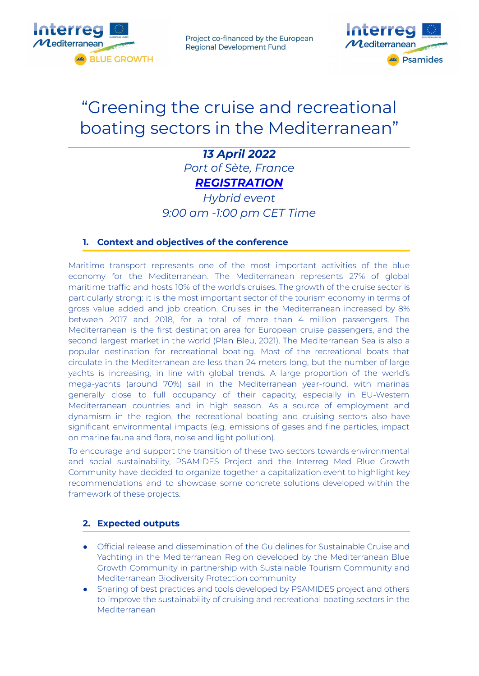

Project co-financed by the European Regional Development Fund



# "Greening the cruise and recreational boating sectors in the Mediterranean"

# *13 April 2022 Port of Sète, France [REGISTRATION](https://blue-growth.interreg-med.eu/index.php?id=14015)*

*Hybrid event 9:00 am -1:00 pm CET Time*

## **1. Context and objectives of the conference**

Maritime transport represents one of the most important activities of the blue economy for the Mediterranean. The Mediterranean represents 27% of global maritime traffic and hosts 10% of the world's cruises. The growth of the cruise sector is particularly strong: it is the most important sector of the tourism economy in terms of gross value added and job creation. Cruises in the Mediterranean increased by 8% between 2017 and 2018, for a total of more than 4 million passengers. The Mediterranean is the first destination area for European cruise passengers, and the second largest market in the world (Plan Bleu, 2021). The Mediterranean Sea is also a popular destination for recreational boating. Most of the recreational boats that circulate in the Mediterranean are less than 24 meters long, but the number of large yachts is increasing, in line with global trends. A large proportion of the world's mega-yachts (around 70%) sail in the Mediterranean year-round, with marinas generally close to full occupancy of their capacity, especially in EU-Western Mediterranean countries and in high season. As a source of employment and dynamism in the region, the recreational boating and cruising sectors also have significant environmental impacts (e.g. emissions of gases and fine particles, impact on marine fauna and flora, noise and light pollution).

To encourage and support the transition of these two sectors towards environmental and social sustainability, PSAMIDES Project and the Interreg Med Blue Growth Community have decided to organize together a capitalization event to highlight key recommendations and to showcase some concrete solutions developed within the framework of these projects.

# **2. Expected outputs**

- Official release and dissemination of the Guidelines for Sustainable Cruise and Yachting in the Mediterranean Region developed by the Mediterranean Blue Growth Community in partnership with Sustainable Tourism Community and Mediterranean Biodiversity Protection community
- Sharing of best practices and tools developed by PSAMIDES project and others to improve the sustainability of cruising and recreational boating sectors in the Mediterranean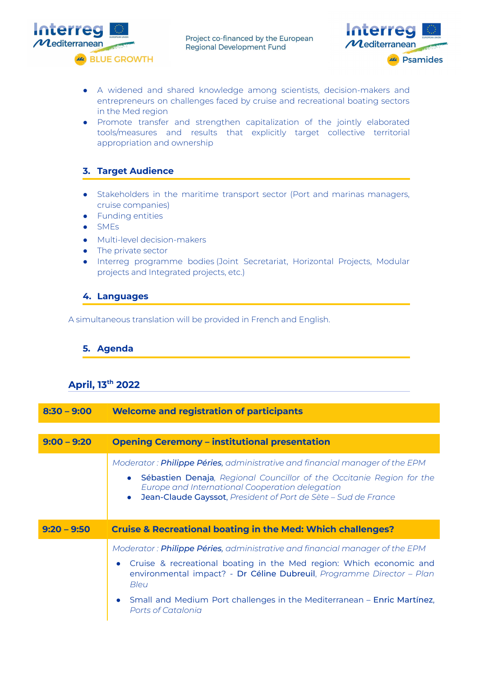

Project co-financed by the European Regional Development Fund



- A widened and shared knowledge among scientists, decision-makers and entrepreneurs on challenges faced by cruise and recreational boating sectors in the Med region
- Promote transfer and strengthen capitalization of the jointly elaborated tools/measures and results that explicitly target collective territorial appropriation and ownership

#### **3. Target Audience**

- Stakeholders in the maritime transport sector (Port and marinas managers, cruise companies)
- Funding entities
- SMEs
- Multi-level decision-makers
- The private sector
- Interreg programme bodies (Joint Secretariat, Horizontal Projects, Modular projects and Integrated projects, etc.)

#### **4. Languages**

A simultaneous translation will be provided in French and English.

#### **5. Agenda**

## **April, 13 th 2022**

| $8:30 - 9:00$ | <b>Welcome and registration of participants</b>                                                                                                                                                                                                                                                                                                             |
|---------------|-------------------------------------------------------------------------------------------------------------------------------------------------------------------------------------------------------------------------------------------------------------------------------------------------------------------------------------------------------------|
|               |                                                                                                                                                                                                                                                                                                                                                             |
| $9:00 - 9:20$ | <b>Opening Ceremony – institutional presentation</b>                                                                                                                                                                                                                                                                                                        |
|               | Moderator: <b>Philippe Péries</b> , administrative and financial manager of the EPM<br>Sébastien Denaja, Regional Councillor of the Occitanie Region for the<br>$\bullet$<br>Europe and International Cooperation delegation<br>Jean-Claude Gayssot, President of Port de Sète - Sud de France<br>$\bullet$                                                 |
| $9:20 - 9:50$ | <b>Cruise &amp; Recreational boating in the Med: Which challenges?</b>                                                                                                                                                                                                                                                                                      |
|               | Moderator: <b>Philippe Péries</b> , administrative and financial manager of the EPM<br>Cruise & recreational boating in the Med region: Which economic and<br>$\bullet$<br>environmental impact? - Dr Céline Dubreuil, Programme Director - Plan<br>Bleu<br>• Small and Medium Port challenges in the Mediterranean – Enric Martinez,<br>Ports of Catalonia |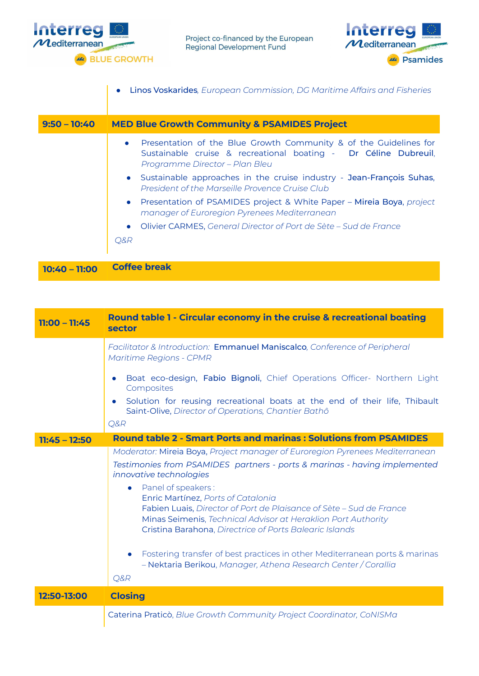



|                 | <b>Linos Voskarides</b> , European Commission, DG Maritime Affairs and Fisheries<br>$\bullet$                                                                                       |
|-----------------|-------------------------------------------------------------------------------------------------------------------------------------------------------------------------------------|
|                 |                                                                                                                                                                                     |
| $9:50 - 10:40$  | <b>MED Blue Growth Community &amp; PSAMIDES Project</b>                                                                                                                             |
|                 | Presentation of the Blue Growth Community & of the Guidelines for<br>$\bullet$<br>Sustainable cruise & recreational boating - Dr Céline Dubreuil,<br>Programme Director - Plan Bleu |
|                 | • Sustainable approaches in the cruise industry - Jean-François Suhas,<br>President of the Marseille Provence Cruise Club                                                           |
|                 | Presentation of PSAMIDES project & White Paper - Mireia Boya, project<br>$\bullet$<br>manager of Euroregion Pyrenees Mediterranean                                                  |
|                 | Olivier CARMES, General Director of Port de Sète - Sud de France<br>$\bullet$                                                                                                       |
|                 | O&R                                                                                                                                                                                 |
|                 |                                                                                                                                                                                     |
| $10:40 - 11:00$ | <b>Coffee break</b>                                                                                                                                                                 |

| $11:00 - 11:45$ | Round table 1 - Circular economy in the cruise & recreational boating<br>sector                                                                                                                                                                                                                                                                                                                                                                                                                                                                   |
|-----------------|---------------------------------------------------------------------------------------------------------------------------------------------------------------------------------------------------------------------------------------------------------------------------------------------------------------------------------------------------------------------------------------------------------------------------------------------------------------------------------------------------------------------------------------------------|
|                 | Facilitator & Introduction: Emmanuel Maniscalco, Conference of Peripheral<br><b>Maritime Regions - CPMR</b>                                                                                                                                                                                                                                                                                                                                                                                                                                       |
|                 | Boat eco-design, Fabio Bignoli, Chief Operations Officer- Northern Light<br>$\bullet$<br>Composites                                                                                                                                                                                                                                                                                                                                                                                                                                               |
|                 | Solution for reusing recreational boats at the end of their life, Thibault<br>Saint-Olive, Director of Operations, Chantier Bathô                                                                                                                                                                                                                                                                                                                                                                                                                 |
|                 | Q&R                                                                                                                                                                                                                                                                                                                                                                                                                                                                                                                                               |
| $11:45 - 12:50$ | <b>Round table 2 - Smart Ports and marinas: Solutions from PSAMIDES</b>                                                                                                                                                                                                                                                                                                                                                                                                                                                                           |
|                 | Moderator: Mireia Boya, Project manager of Euroregion Pyrenees Mediterranean<br>Testimonies from PSAMIDES partners - ports & marinas - having implemented<br>innovative technologies<br>• Panel of speakers:<br>Enric Martínez, Ports of Catalonia<br>Fabien Luais, Director of Port de Plaisance of Sète - Sud de France<br>Minas Seimenis, Technical Advisor at Heraklion Port Authority<br>Cristina Barahona, Directrice of Ports Balearic Islands<br>Fostering transfer of best practices in other Mediterranean ports & marinas<br>$\bullet$ |
|                 | - Nektaria Berikou, Manager, Athena Research Center / Corallia<br><b>O&amp;R</b>                                                                                                                                                                                                                                                                                                                                                                                                                                                                  |
| 12:50-13:00     | <b>Closing</b>                                                                                                                                                                                                                                                                                                                                                                                                                                                                                                                                    |
|                 | Caterina Praticò, Blue Growth Community Project Coordinator, CoNISMa                                                                                                                                                                                                                                                                                                                                                                                                                                                                              |